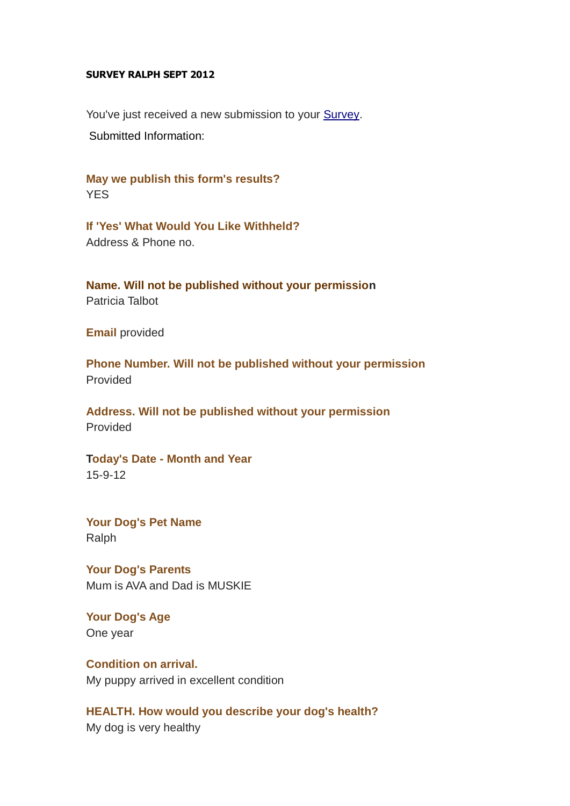### **SURVEY RALPH SEPT 2012**

You've just received a new submission to your [Survey.](http://www.rutlandmanor.com/please-submit-your-survey.html) Submitted Information:

**May we publish this form's results?**  YES

**If 'Yes' What Would You Like Withheld?**  Address & Phone no.

**Name. Will not be published without your permission** Patricia Talbot

**Email** provided

**Phone Number. Will not be published without your permission** Provided

**Address. Will not be published without your permission** Provided

**Today's Date - Month and Year** 15-9-12

**Your Dog's Pet Name Ralph** 

**Your Dog's Parents**  Mum is AVA and Dad is MUSKIE

**Your Dog's Age** One year

**Condition on arrival.**  My puppy arrived in excellent condition

**HEALTH. How would you describe your dog's health?** My dog is very healthy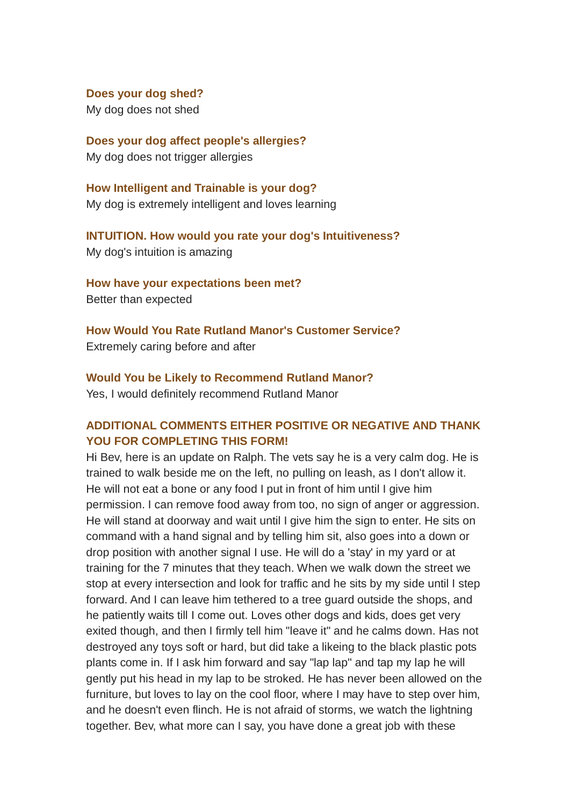### **Does your dog shed?**

My dog does not shed

**Does your dog affect people's allergies?**  My dog does not trigger allergies

**How Intelligent and Trainable is your dog?** My dog is extremely intelligent and loves learning

**INTUITION. How would you rate your dog's Intuitiveness?** My dog's intuition is amazing

# **How have your expectations been met?**

Better than expected

**How Would You Rate Rutland Manor's Customer Service?** Extremely caring before and after

#### **Would You be Likely to Recommend Rutland Manor?**

Yes, I would definitely recommend Rutland Manor

## **ADDITIONAL COMMENTS EITHER POSITIVE OR NEGATIVE AND THANK YOU FOR COMPLETING THIS FORM!**

Hi Bev, here is an update on Ralph. The vets say he is a very calm dog. He is trained to walk beside me on the left, no pulling on leash, as I don't allow it. He will not eat a bone or any food I put in front of him until I give him permission. I can remove food away from too, no sign of anger or aggression. He will stand at doorway and wait until I give him the sign to enter. He sits on command with a hand signal and by telling him sit, also goes into a down or drop position with another signal I use. He will do a 'stay' in my yard or at training for the 7 minutes that they teach. When we walk down the street we stop at every intersection and look for traffic and he sits by my side until I step forward. And I can leave him tethered to a tree guard outside the shops, and he patiently waits till I come out. Loves other dogs and kids, does get very exited though, and then I firmly tell him "leave it" and he calms down. Has not destroyed any toys soft or hard, but did take a likeing to the black plastic pots plants come in. If I ask him forward and say "lap lap" and tap my lap he will gently put his head in my lap to be stroked. He has never been allowed on the furniture, but loves to lay on the cool floor, where I may have to step over him, and he doesn't even flinch. He is not afraid of storms, we watch the lightning together. Bev, what more can I say, you have done a great job with these